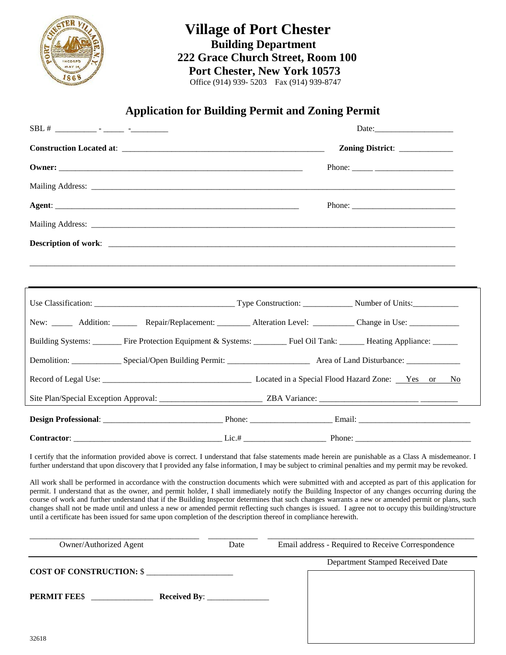

# **Village of Port Chester Building Department 222 Grace Church Street, Room 100 Port Chester, New York 10573**Office (914) 939- 5203 Fax (914) 939-8747

# **Application for Building Permit and Zoning Permit**

|                                                                                                                                                                                                                                                                                                                                                                                                                                                                                                                                                                                                                                                                                                                                     |      |  | Zoning District: ___________                       |
|-------------------------------------------------------------------------------------------------------------------------------------------------------------------------------------------------------------------------------------------------------------------------------------------------------------------------------------------------------------------------------------------------------------------------------------------------------------------------------------------------------------------------------------------------------------------------------------------------------------------------------------------------------------------------------------------------------------------------------------|------|--|----------------------------------------------------|
|                                                                                                                                                                                                                                                                                                                                                                                                                                                                                                                                                                                                                                                                                                                                     |      |  |                                                    |
|                                                                                                                                                                                                                                                                                                                                                                                                                                                                                                                                                                                                                                                                                                                                     |      |  |                                                    |
|                                                                                                                                                                                                                                                                                                                                                                                                                                                                                                                                                                                                                                                                                                                                     |      |  |                                                    |
|                                                                                                                                                                                                                                                                                                                                                                                                                                                                                                                                                                                                                                                                                                                                     |      |  |                                                    |
|                                                                                                                                                                                                                                                                                                                                                                                                                                                                                                                                                                                                                                                                                                                                     |      |  |                                                    |
|                                                                                                                                                                                                                                                                                                                                                                                                                                                                                                                                                                                                                                                                                                                                     |      |  |                                                    |
|                                                                                                                                                                                                                                                                                                                                                                                                                                                                                                                                                                                                                                                                                                                                     |      |  |                                                    |
|                                                                                                                                                                                                                                                                                                                                                                                                                                                                                                                                                                                                                                                                                                                                     |      |  |                                                    |
| New: __________ Addition: ____________ Repair/Replacement: ___________ Alteration Level: ___________ Change in Use: ______________                                                                                                                                                                                                                                                                                                                                                                                                                                                                                                                                                                                                  |      |  |                                                    |
| Building Systems: _______ Fire Protection Equipment & Systems: ______ Fuel Oil Tank: _____ Heating Appliance: _____                                                                                                                                                                                                                                                                                                                                                                                                                                                                                                                                                                                                                 |      |  |                                                    |
|                                                                                                                                                                                                                                                                                                                                                                                                                                                                                                                                                                                                                                                                                                                                     |      |  |                                                    |
|                                                                                                                                                                                                                                                                                                                                                                                                                                                                                                                                                                                                                                                                                                                                     |      |  |                                                    |
|                                                                                                                                                                                                                                                                                                                                                                                                                                                                                                                                                                                                                                                                                                                                     |      |  |                                                    |
|                                                                                                                                                                                                                                                                                                                                                                                                                                                                                                                                                                                                                                                                                                                                     |      |  |                                                    |
|                                                                                                                                                                                                                                                                                                                                                                                                                                                                                                                                                                                                                                                                                                                                     |      |  |                                                    |
| I certify that the information provided above is correct. I understand that false statements made herein are punishable as a Class A misdemeanor. I<br>further understand that upon discovery that I provided any false information, I may be subject to criminal penalties and my permit may be revoked.                                                                                                                                                                                                                                                                                                                                                                                                                           |      |  |                                                    |
| All work shall be performed in accordance with the construction documents which were submitted with and accepted as part of this application for<br>permit. I understand that as the owner, and permit holder, I shall immediately notify the Building Inspector of any changes occurring during the<br>course of work and further understand that if the Building Inspector determines that such changes warrants a new or amended permit or plans, such<br>changes shall not be made until and unless a new or amended permit reflecting such changes is issued. I agree not to occupy this building/structure<br>until a certificate has been issued for same upon completion of the description thereof in compliance herewith. |      |  |                                                    |
| Owner/Authorized Agent                                                                                                                                                                                                                                                                                                                                                                                                                                                                                                                                                                                                                                                                                                              | Date |  | Email address - Required to Receive Correspondence |
| <b>COST OF CONSTRUCTION: \$_</b>                                                                                                                                                                                                                                                                                                                                                                                                                                                                                                                                                                                                                                                                                                    |      |  | Department Stamped Received Date                   |
| <b>PERMIT FEES</b><br><b>Received By:</b>                                                                                                                                                                                                                                                                                                                                                                                                                                                                                                                                                                                                                                                                                           |      |  |                                                    |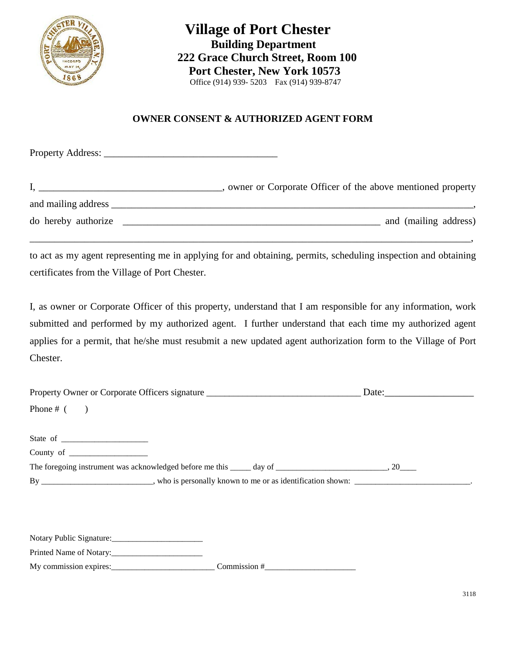

 **Village of Port Chester Building Department 222 Grace Church Street, Room 100 Port Chester, New York 10573**Office (914) 939- 5203 Fax (914) 939-8747

## **OWNER CONSENT & AUTHORIZED AGENT FORM**

Property Address: \_\_\_\_\_\_\_\_\_\_\_\_\_\_\_\_\_\_\_\_\_\_\_\_\_\_\_\_\_\_\_\_\_\_\_

|                     | owner or Corporate Officer of the above mentioned property |
|---------------------|------------------------------------------------------------|
| and mailing address |                                                            |
| do hereby authorize | and (mailing address)                                      |

to act as my agent representing me in applying for and obtaining, permits, scheduling inspection and obtaining certificates from the Village of Port Chester.

\_\_\_\_\_\_\_\_\_\_\_\_\_\_\_\_\_\_\_\_\_\_\_\_\_\_\_\_\_\_\_\_\_\_\_\_\_\_\_\_\_\_\_\_\_\_\_\_\_\_\_\_\_\_\_\_\_\_\_\_\_\_\_\_\_\_\_\_\_\_\_\_\_\_\_\_\_\_\_\_\_\_\_\_\_\_\_\_\_,

I, as owner or Corporate Officer of this property, understand that I am responsible for any information, work submitted and performed by my authorized agent. I further understand that each time my authorized agent applies for a permit, that he/she must resubmit a new updated agent authorization form to the Village of Port Chester.

| Property Owner or Corporate Officers signature                                                                                                                                                                                                                                                                                                                                                                            | Date: $\qquad \qquad$ |
|---------------------------------------------------------------------------------------------------------------------------------------------------------------------------------------------------------------------------------------------------------------------------------------------------------------------------------------------------------------------------------------------------------------------------|-----------------------|
| Phone # $($ )                                                                                                                                                                                                                                                                                                                                                                                                             |                       |
|                                                                                                                                                                                                                                                                                                                                                                                                                           |                       |
| State of $\frac{1}{\sqrt{1-\frac{1}{\sqrt{1-\frac{1}{\sqrt{1-\frac{1}{\sqrt{1-\frac{1}{\sqrt{1-\frac{1}{\sqrt{1-\frac{1}{\sqrt{1-\frac{1}{\sqrt{1-\frac{1}{\sqrt{1-\frac{1}{\sqrt{1-\frac{1}{\sqrt{1-\frac{1}{\sqrt{1-\frac{1}{\sqrt{1-\frac{1}{\sqrt{1-\frac{1}{\sqrt{1-\frac{1}{\sqrt{1-\frac{1}{\sqrt{1-\frac{1}{\sqrt{1-\frac{1}{\sqrt{1-\frac{1}{\sqrt{1-\frac{1}{\sqrt{1-\frac{1}{\sqrt{1-\frac{1}{\sqrt{1-\frac{1$ |                       |
| County of $\frac{1}{\sqrt{1-\frac{1}{\sqrt{1-\frac{1}{\sqrt{1-\frac{1}{\sqrt{1-\frac{1}{\sqrt{1-\frac{1}{\sqrt{1-\frac{1}{\sqrt{1-\frac{1}{\sqrt{1-\frac{1}{\sqrt{1-\frac{1}{\sqrt{1-\frac{1}{\sqrt{1-\frac{1}{\sqrt{1-\frac{1}{\sqrt{1-\frac{1}{\sqrt{1-\frac{1}{\sqrt{1-\frac{1}{\sqrt{1-\frac{1}{\sqrt{1-\frac{1}{\sqrt{1-\frac{1}{\sqrt{1-\frac{1}{\sqrt{1-\frac{1}{\sqrt{1-\frac{1}{\sqrt{1-\frac{1}{\sqrt{1-\frac{$ |                       |
|                                                                                                                                                                                                                                                                                                                                                                                                                           |                       |
| By _________________________, who is personally known to me or as identification shown:                                                                                                                                                                                                                                                                                                                                   |                       |
|                                                                                                                                                                                                                                                                                                                                                                                                                           |                       |
|                                                                                                                                                                                                                                                                                                                                                                                                                           |                       |

| Notary Public Signature: |  |
|--------------------------|--|
|                          |  |

Printed Name of Notary:\_\_\_\_\_\_\_\_\_\_\_\_\_\_\_\_\_\_\_\_\_\_

My commission expires:\_\_\_\_\_\_\_\_\_\_\_\_\_\_\_\_\_\_\_\_\_\_\_\_\_ Commission #\_\_\_\_\_\_\_\_\_\_\_\_\_\_\_\_\_\_\_\_\_\_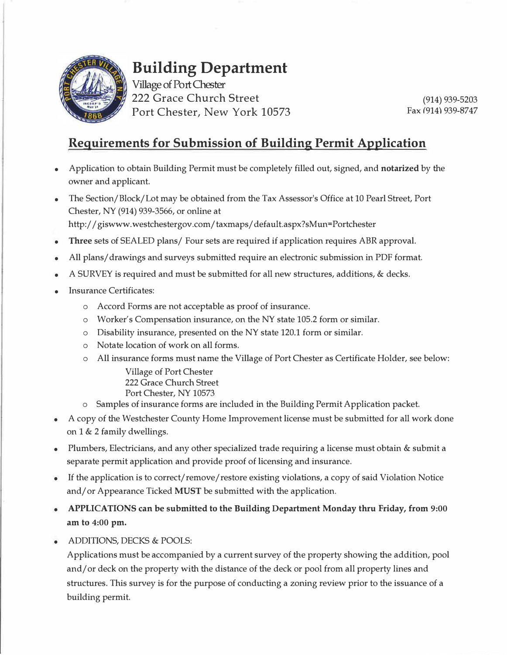

# **Building Department**

Village of Port Chester 222 Grace Church Street Port Chester, New York 10573

(914) 939-5203 Fax (914) 939-8747

# **Requirements for Submission of Building Permit Application**

- Application to obtain Building Permit must be completely filled out, signed, and **notarized** by the owner and applicant.
- The Section/Block/Lot may be obtained from the Tax Assessor's Office at 10 Pearl Street, Port Chester, NY (914) 939-3566, or online at http://giswww.westchestergov.com/taxmaps/default.aspx?sMun=Portchester
- **Three** sets of SEALED plans/ Four sets are required if application requires ABR approval.
- All plans/ drawings and surveys submitted require an electronic submission in PDF format.
- A SURVEY is required and must be submitted for all new structures, additions, & decks.
- **Insurance Certificates:** 
	- o Accord Forms are not acceptable as proof of insurance.
	- o Worker's Compensation insurance, on the NY state 105.2 form or similar.
	- o Disability insurance, presented on the NY state 120.1 form or similar.
	- o Notate location of work on all forms.
	- o All insurance forms must name the Village of Port Chester as Certificate Holder, see below:

Village of Port Chester 222 Grace Church Street Port Chester, NY 10573

- o Samples of insurance forms are included in the Building Permit Application packet.
- A copy of the Westchester County Home Improvement license must be submitted for all work done on 1 & 2 family dwellings.
- Plumbers, Electricians, and any other specialized trade requiring a license must obtain & submit a separate permit application and provide proof of licensing and insurance.
- If the application is to correct/remove/restore existing violations, a copy of said Violation Notice and/ or Appearance Ticked **MUST** be submitted with the application.
- **APPLICATIONS can be submitted to the Building Department Monday thru Friday, from 9:00 am to 4:00 pm.**
- ADDITIONS, DECKS & POOLS:

Applications must be accompanied by a current survey of the property showing the addition, pool and/ or deck on the property with the distance of the deck or pool from all property lines and structures. This survey is for the purpose of conducting a zoning review prior to the issuance of a building permit.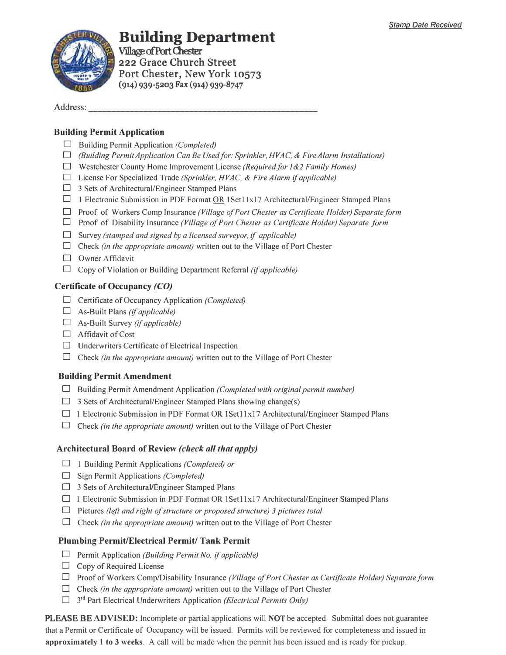

# **Building Department**

**Village of Port Chester** <sup>222</sup>**Grace Church Street Port Chester, New York 10573**  (914) 939-5203 Fax (914) 939-8747

Address:

#### **Building Permit Application**

- D Building Permit Application *(Completed)*
- □ *(Building Permit Application Can Be Used for: Sprinkler, HVAC, & Fire Alarm Installations)*
- □ Westchester County Home Improvement License *(Required/or /&2 Family Homes)*
- D License For Specialized Trade *(Sprinkler, HVAC, & Fire Alarm if applicable)*
- $\Box$  3 Sets of Architectural/Engineer Stamped Plans
- $\Box$  1 Electronic Submission in PDF Format OR 1Set11x17 Architectural/Engineer Stamped Plans
- □ Proof of Workers Comp Insurance *(Village of Port Chester as Certificate Holder) Separate form*
- D Proof of Disability Insurance *(Village of Port Chester as Certificate Holder) Separate form*
- □ Survey *(stamped and signed by a licensed surveyor, if applicable)*
- $\Box$  Check *(in the appropriate amount)* written out to the Village of Port Chester
- □ Owner Affidavit
- $\Box$  Copy of Violation or Building Department Referral *(if applicable)*

#### **Certificate of Occupancy** *(CO)*

- D Certificate of Occupancy Application *(Completed)*
- D As-Built Plans *(ifapplicable)*
- D As-Built Survey *(ifapplicable)*
- $\Box$  Affidavit of Cost
- $\Box$  Underwriters Certificate of Electrical Inspection
- □ Check *(in the appropriate amount)* written out to the Village of Port Chester

### **Building Permit Amendment**

- D Building Permit Amendment Application *(Completed with original permit number)*
- $\Box$  3 Sets of Architectural/Engineer Stamped Plans showing change(s)
- $\Box$  1 Electronic Submission in PDF Format OR 1Set11x17 Architectural/Engineer Stamped Plans
- $\Box$  Check *(in the appropriate amount)* written out to the Village of Port Chester

#### **Architectural Board of Review** *(check all that apply)*

- D 1 Building Permit Applications *(Completed) or*
- D Sign Permit Applications *(Completed)*
- $\Box$  3 Sets of Architectural/Engineer Stamped Plans
- $\Box$  1 Electronic Submission in PDF Format OR 1Set11x17 Architectural/Engineer Stamped Plans
- D Pictures *(left and right of structure or proposed structure) 3 pictures total*
- $\Box$  Check *(in the appropriate amount)* written out to the Village of Port Chester

#### **Plumbing Permit/Electrical Permit/ Tank Permit**

- D Permit Application *(Building Permit No. if applicable)*
- $\Box$  Copy of Required License
- D ProofofWorkers Comp/Disability Insurance *(Village of Port Chester as Certificate Holder) Separate form*
- □ Check *(in the appropriate amount)* written out to the Village of Port Chester
- □ 3<sup>rd</sup> Part Electrical Underwriters Application *(Electrical Permits Only)*

PLEASE BE **ADVISED:** Incomplete or partial applications will **N**OT be accepted. Submittal does not guarantee that a Permit or Certificate of Occupancy will be issued. Permits will be reviewed for completeness and issued in **approximately 1 to 3 weeks**. A call will be made when the permit has been issued and is ready for pickup.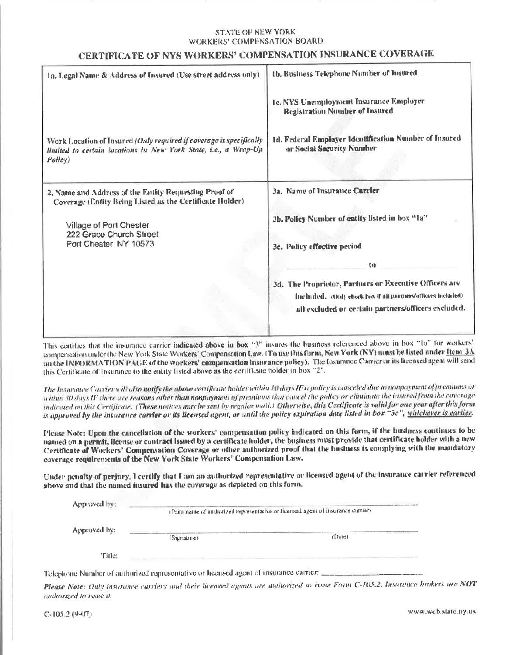#### STATE OF NEW YORK **WORKERS' COMPENSATION BOARD**

## CERTIFICATE OF NYS WORKERS' COMPENSATION INSURANCE COVERAGE

| 1a, Legal Name & Address of Insured (Use street address only)                                                                                     | 1b. Business Telephone Number of Insured                                           |
|---------------------------------------------------------------------------------------------------------------------------------------------------|------------------------------------------------------------------------------------|
|                                                                                                                                                   | 1c. NYS Unemployment Insurance Employer<br><b>Registration Nuniber of Insured</b>  |
| Work Location of Insured (Only required if coverage is specifically<br>limited to certain locations in New York State, i.e., a Wrap-Up<br>Policy) | 1d. Federal Employer Identification Number of Insured<br>or Social Security Number |
| 2. Name and Address of the Entity Requesting Proof of<br>Coverage (Entity Being Listed as the Certificate Holder)                                 | 3a. Name of Insurance Carrier                                                      |
| Village of Port Chester                                                                                                                           | 3b. Policy Number of entity listed in box "1a"                                     |
| 222 Grace Church Street<br>Port Chester, NY 10573                                                                                                 | 3c. Policy effective period                                                        |
|                                                                                                                                                   | to                                                                                 |
|                                                                                                                                                   | 3d. The Proprietor, Partners or Executive Officers are                             |
|                                                                                                                                                   | Included. (Only check how if all partners/officers included).                      |
|                                                                                                                                                   | all excluded or certain partners/officers excluded.                                |
|                                                                                                                                                   |                                                                                    |

This certifies that the insurance carrier indicated above in box "3" insures the business referenced above in box "1a" for workers' compensation under the New York State Workers' Compensation Law. (To use this form, New York (NY) must be listed under ftem 3A on the INFORMATION PAGE of the workers' compensation insurance policy). The Insurance Carrier or its licensed agent will send this Certificate of Insurance to the entity listed above as the certificate holder in box "2".

The Insurance Carrier will als**o notify the above** certificate holder within 10 days IF a policy is canceled due to nonpayment of premiums or within 30 days IF there are reasons other than nonpayment of premiums that cancel the policy or eliminate the instred from the coverage indicated on this Certificate. (These notices may be sent by regular mail.) Otherwise, this Certificate is valid for one year after this form is approved by the insurance carrier or its licensed agent, or until the policy expiration date listed in box "3c", whichever is cartier.

Please Note: Upon the cancellation of the workers' compensation policy indicated on this form, if the business continues to be named on a permit, license or contract issued by a certificate holder, the business must provide that certificate holder with a new Certificate of Workers' Compensation Coverage or other authorized proof that the business is complying with the mandatory coverage requirements of the New York State Workers' Compensation Law.

Under penalty of perjury, I certify that I am an authorized representative or licensed agent of the insurance carrier referenced above and that the named insured has the coverage as depicted on this form.

| Approved by: | (Print name of undustized representative or ficensed agent of insurance currier). |        |
|--------------|-----------------------------------------------------------------------------------|--------|
| Approved by: | (Signature)                                                                       | (Date) |
| Title:       |                                                                                   |        |

Telephone Number of authorized representative or licensed agent of insurance carrier:  $\frac{1}{1-\frac{1}{2}}$ 

Please Note: Only insurance carriers and their licensed agents are unborized to issue Form C-105.2. Insurance brokers are NOT anthorized to issue it.

 $C-105.2(9-07)$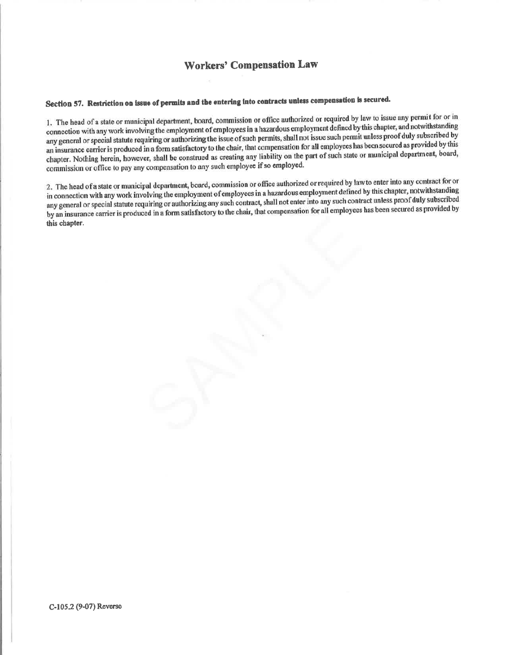# **Workers' Compensation Law**

# Section 57. Restriction on issue of permits and the entering into contracts unless compensation is secured.

1. The head of a state or municipal department, board, commission or office authorized or required by law to issue any permit for or in connection with any work involving the employment of employees in a hazardous employment defined by this chapter, and notwithstanding any general or special statute requiring or authorizing the issue of such permits, shall not issue such permit unless proof duly subscribed by an insurance carrier is produced in a form satisfactory to the chair, that compensation for all employees has been secured as provided by this chapter. Nothing herein, however, shall be construed as creating any liability on the part of such state or municipal department, board, commission or office to pay any compensation to any such employee if so employed.

2. The head of a state or municipal department, board, commission or office authorized or required by law to enter into any contract for or in connection with any work involving the employment of employees in a hazardous employment defined by this chapter, notwithstanding any general or special statute requiring or authorizing any such contract, shall not enter into any such contract unless proof duly subscribed by an insurance carrier is produced in a form satisfactory to the chair, that compensation for all employees has been secured as provided by this chapter.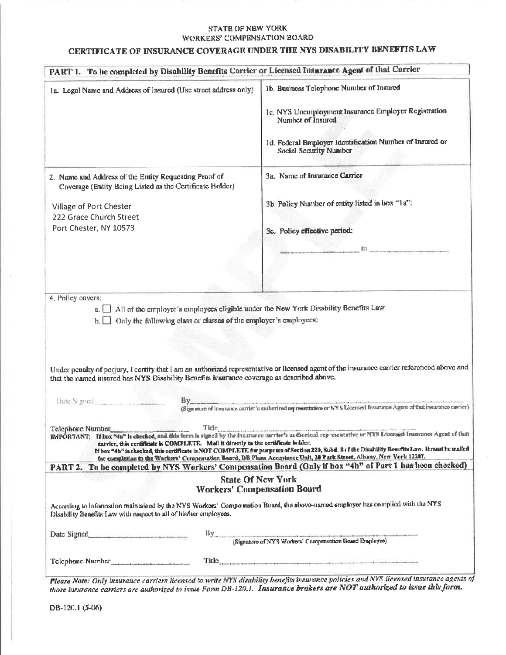#### STATE OF NEW YORK WORKERS' COMPENSATION BOARD

## CERTIFICATE OF INSURANCE COVERAGE UNDER THE NYS DISABILITY BENEFITS LAW

|                                                                                                                                                                                                     | PART 1. To be completed by Disability Benefits Carrier or Licensed Insurance Agent of that Carrier                                                                                                                                                                                                                                                                                                                                                                                                                                                                                               |
|-----------------------------------------------------------------------------------------------------------------------------------------------------------------------------------------------------|--------------------------------------------------------------------------------------------------------------------------------------------------------------------------------------------------------------------------------------------------------------------------------------------------------------------------------------------------------------------------------------------------------------------------------------------------------------------------------------------------------------------------------------------------------------------------------------------------|
| la. Legal Name and Address of Insured (Use street address only)                                                                                                                                     | 1b. Business Telephone Number of Insured<br>1c. NYS Uncorployment Insurance Employer Registration<br>Number of Insured<br>1d. Federal Employer Identification Number of Insured or<br>Social Security Number                                                                                                                                                                                                                                                                                                                                                                                     |
| 2. Name and Address of the Entity Requesting Proof of<br>Coverage (Entity Being Listed as the Certificate Holder)<br>Village of Port Chester<br>222 Grace Church Street<br>Port Chester, NY 10573   | 3a. Name of Insurance Carrier<br>3b. Policy Number of entity listed in hox "1a":<br>3c. Policy effective period:<br>$\mathbf{1}_{\mathbf{1}_{\mathbf{2}_{\mathbf{3}}\mathbf{3}_{\mathbf{4}}\mathbf{4}_{\mathbf{5}}\mathbf{4}_{\mathbf{5}}\mathbf{5}_{\mathbf{6}}\mathbf{6}_{\mathbf{7}_{\mathbf{8}}\mathbf{4}_{\mathbf{8}}\mathbf{6}_{\mathbf{8}}\mathbf{6}_{\mathbf{9}_{\mathbf{9}}\mathbf{6}_{\mathbf{9}}\mathbf{6}_{\mathbf{9}}\mathbf{6}_{\mathbf{9}}\mathbf{6}_{\mathbf{9}_{\mathbf{9}}\mathbf{6}_{\mathbf{9}}\mathbf{6}_{\mathbf{9}}\mathbf{6}_{\mathbf{$                                  |
| 4. Policy covers:<br>a.   All of the employer's employees cligible under the New York Disability Benefits Law                                                                                       |                                                                                                                                                                                                                                                                                                                                                                                                                                                                                                                                                                                                  |
| $\mathbf{b}$ . $\Box$ Only the following class or classes of the employer's employees:                                                                                                              |                                                                                                                                                                                                                                                                                                                                                                                                                                                                                                                                                                                                  |
| that the named insured has NYS Disability Benefits insurance coverage as described above.<br>Date Signed<br>carrier, this certificate is COMPLETE. Mail it directly to the certificate builder.     | Under penalty of perjury, I certify that I am an authorized representative or licensed agent of the insurance carrier referenced above and<br>By<br>(Sigmature of instrume corrier's outhorized representative or NYS Licensed Insurance Agent of that insurance carrier)<br>Title.<br>IMPORTANT: If hox "4n" is checked, and this form is signed by the insurance carrier's authorized representative or NYS Licensed Insurance Agent of that<br>If bux "4b" is checked, this certificate is NOT COMPLETE for purposes of Section 220, Subd. 8 of the Disubility Beachts Low. It must be mailed |
|                                                                                                                                                                                                     | for completion to the Workers' Compensation Board, DB Plans Acceptance Unit, 20 Park Street, Albany, New Vork 12207.                                                                                                                                                                                                                                                                                                                                                                                                                                                                             |
| According to information maintained by the NYS Workers' Compensation Board, the above-named employer has complied with the NYS<br>Disability Benefits Law with respect to all of his/her employees. | PART 2. To be completed by NYS Workers' Compensation Board (Only if box "4h" of Part 1 has been checked)<br><b>State Of New York</b><br>Workers' Compensation Board                                                                                                                                                                                                                                                                                                                                                                                                                              |
|                                                                                                                                                                                                     |                                                                                                                                                                                                                                                                                                                                                                                                                                                                                                                                                                                                  |
| Date Signed<br><u>___________________________</u>                                                                                                                                                   | By<br>(Signature of NYS Workers' Compensation Board Employee)                                                                                                                                                                                                                                                                                                                                                                                                                                                                                                                                    |

Please Note: Only insurance corriers licensed to write NYS disability benefits insurance policies and NYS licensed insurance agents of<br>those insurance carriers are authorized to issue Form DB-120.1. Insurance brokers are N

DB-120.1 (5-06)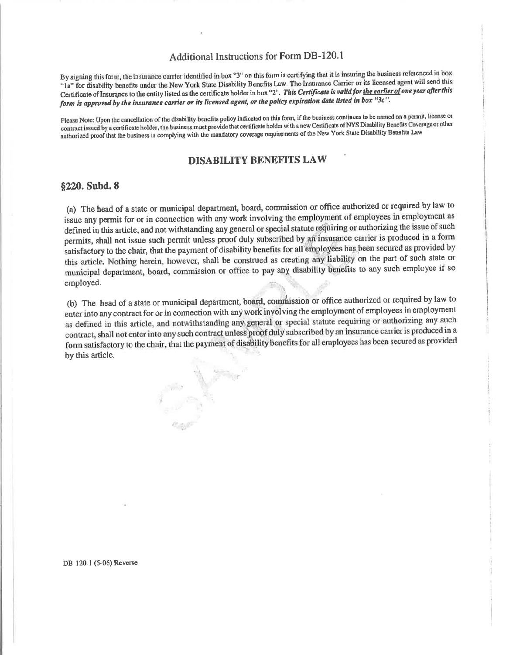#### **Additional Instructions for Form DB-120.1**

By signing this form, the insurance carrier identified in box "3" on this form is certifying that it is insuring the business referenced in box "la" for disability benefits under the New York State Disability Benefits Law The Insurance Carrier or its licensed agent will send this Certificate of Insurance to the entity listed as the certificate holder in box "2". This Certificate is valid for the earlier of one year after this form is approved by the insurance carrier or its licensed agent, or the policy expiration date listed in box "3c".

Please Note: Upon the cancellation of the disability benefits policy indicated on this form, if the business continues to be named on a permit, license or contract issued by a certificate holder, the business must provide that certificate holder with a new Certificate of NYS Disability Benefits Coverage or other authorized proof that the business is complying with the mandatory coverage requirements of the New York State Disability Benefits Law

#### **DISABILITY BENEFITS LAW**

#### §220. Subd. 8

(a) The head of a state or municipal department, board, commission or office authorized or required by law to issue any permit for or in connection with any work involving the employment of employees in employment as defined in this article, and not withstanding any general or special statute requiring or authorizing the issue of such permits, shall not issue such permit unless proof duly subscribed by an insurance carrier is produced in a form satisfactory to the chair, that the payment of disability benefits for all employees has been secured as provided by this article. Nothing herein, however, shall be construed as creating any liability on the part of such state or municipal department, board, commission or office to pay any disability benefits to any such employee if so employed.

(b) The head of a state or municipal department, board, commission or office authorized or required by law to enter into any contract for or in connection with any work involving the employment of employees in employment as defined in this article, and notwithstanding any general or special statute requiring or authorizing any such contract, shall not enter into any such contract unless proof duly subscribed by an insurance carrier is produced in a form satisfactory to the chair, that the payment of disability benefits for all employees has been secured as provided by this article.

DB-120.1 (5-06) Reverse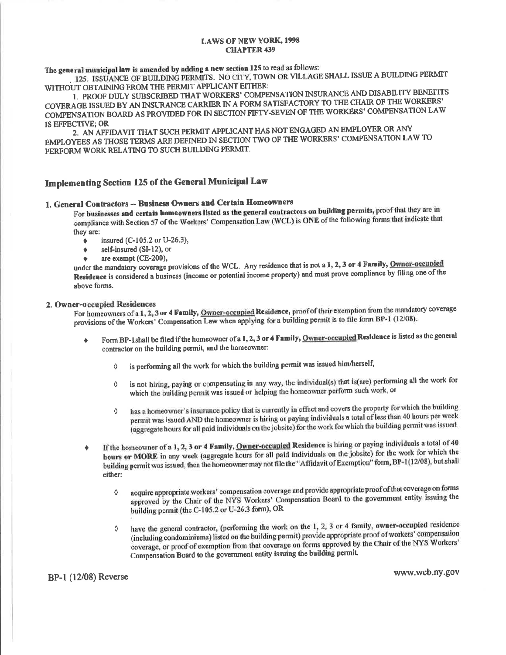The general municipal law is amended by adding a new section 125 to read as follows:

125. ISSUANCE OF BUILDING PERMITS. NO CITY, TOWN OR VILLAGE SHALL ISSUE A BUILDING PERMIT WITHOUT OBTAINING FROM THE PERMIT APPLICANT EITHER:

1. PROOF DULY SUBSCRIBED THAT WORKERS' COMPENSATION INSURANCE AND DISABILITY BENEFITS COVERAGE ISSUED BY AN INSURANCE CARRIER IN A FORM SATISFACTORY TO THE CHAIR OF THE WORKERS' COMPENSATION BOARD AS PROVIDED FOR IN SECTION FIFTY-SEVEN OF THE WORKERS' COMPENSATION LAW IS EFFECTIVE; OR

2. AN AFFIDAVIT THAT SUCH PERMIT APPLICANT HAS NOT ENGAGED AN EMPLOYER OR ANY EMPLOYEES AS THOSE TERMS ARE DEFINED IN SECTION TWO OF THE WORKERS' COMPENSATION LAW TO PERFORM WORK RELATING TO SUCH BUILDING PERMIT.

## Implementing Section 125 of the General Municipal Law

#### 1. General Contractors -- Business Owners and Certain Homeowners

For businesses and certain homeowners listed as the general contractors on building permits, proof that they are in compliance with Section 57 of the Workers' Compensation Law (WCL) is ONE of the following forms that indicate that they are:

- insured (C-105.2 or U-26.3),  $\bullet$
- $\bullet$ self-insured (SI-12), or
- are exempt (CE-200),  $\bullet$

under the mandatory coverage provisions of the WCL. Any residence that is not a 1, 2, 3 or 4 Family, Owner-occupied Residence is considered a business (income or potential income property) and must prove compliance by filing one of the above forms.

#### 2. Owner-occupied Residences

For homeowners of a 1, 2, 3 or 4 Family, Owner-occupied Residence, proof of their exemption from the mandatory coverage provisions of the Workers' Compensation Law when applying for a building permit is to file form BP-1 (12/08).

- Form BP-1shall be filed if the homeowner of a 1, 2, 3 or 4 Family, Owner-occupied Residence is listed as the general  $\bullet$ contractor on the building permit, and the homeowner:
	- is performing all the work for which the building permit was issued him/herself,  $\Diamond$
	- is not hiring, paying or compensating in any way, the individual(s) that is(are) performing all the work for  $\Diamond$ which the building permit was issued or helping the homeowner perform such work, or
	- has a homeowner's insurance policy that is currently in effect and covers the property for which the building  $\Diamond$ permit was issued AND the homeowner is hiring or paying individuals a total of less than 40 hours per week (aggregate hours for all paid individuals on the jobsite) for the work for which the building permit was issued.
- If the homeowner of a 1, 2, 3 or 4 Family, Owner-occupied Residence is hiring or paying individuals a total of 40 hours or MORE in any week (aggregate hours for all paid individuals on the jobsite) for the work for which the building permit was issued, then the homeowner may not file the "Affidavit of Exemption" form, BP-1(12/08), but shall either:
	- acquire appropriate workers' compensation coverage and provide appropriate proof of that coverage on forms  $\Diamond$ approved by the Chair of the NYS Workers' Compensation Board to the government entity issuing the building permit (the C-105.2 or U-26.3 form), OR
	- have the general contractor, (performing the work on the 1, 2, 3 or 4 family, owner-occupied residence ♦ (including condominiums) listed on the building permit) provide appropriate proof of workers' compensation coverage, or proof of exemption from that coverage on forms approved by the Chair of the NYS Workers' Compensation Board to the government entity issuing the building permit.

**BP-1 (12/08) Reverse** 

www.wcb.ny.gov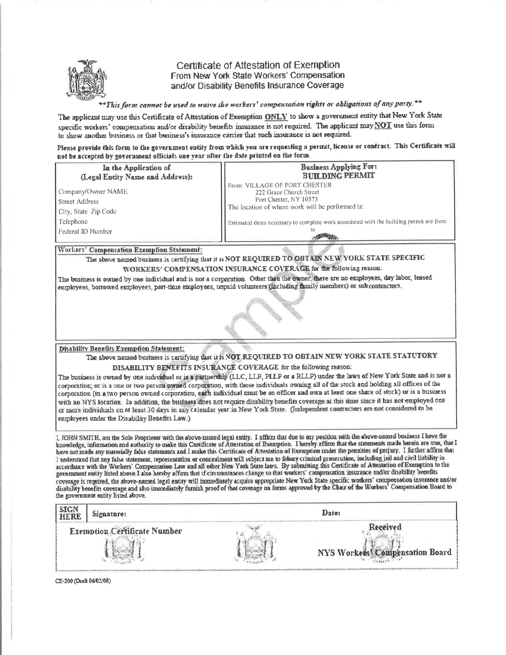

#### Certificate of Attestation of Exemption From New York State Workers' Compensation and/or Disability Benefits Insurance Coverage

\*This form cannot be used to waive the workers' compensation rights or obligations of any party. \*\*

The applicant may use this Certificate of Attestation of Exemption ONLY to show a government entity that New York State specific workers' compensation and/or disability benefits insurance is not required. The applicant may  $\underline{NOT}$  use this form to show another business or that business's insurance carrier that such insurance is not required.

Please provide this form to the government entity from which you are requesting a permit, license or contract. This Certificate will not be accepted by government officials one year after the date printed on the form.

| In the Application of                                        | Business Applying For:                                                                                                                 |
|--------------------------------------------------------------|----------------------------------------------------------------------------------------------------------------------------------------|
| (Legal Entity Name and Address):                             | <b>BUILDING PERMIT</b>                                                                                                                 |
| Company/Owner NAME<br>Street Address<br>City, State Zip Code | From: VILLAGE OF PORT CHESTER<br>222 Grace Church Street<br>Port Chester, NY 10573<br>The location of where work will be performed is: |
| Telephone                                                    | Estimated dates necessary to complete work associated with the building permit are from                                                |
| Federal ID Number                                            | ю                                                                                                                                      |

#### Workers' Compensation Exemption Statement:

The above named business is certifying that it is NOT REQUIRED TO OBTAIN NEW YORK STATE SPECIFIC WORKERS' COMPENSATION INSURANCE COVERAGE for the following reason:

The business is owned by one individual and is not a corporation. Other than the owner, there are no employees, day labor, leased employees, borrowed employees, part-time employees, urpaid volunteers (including family members) or subcontractors.

Disability Benefits Exemption Statement:

The above named business is certifying that it is NOT REQUIRED TO OBTAIN NEW YORK STATE STATUTORY DISABILITY BENEFITS INSURANCE COVERAGE for the following reason:

The business is owned by one individual or is a partnership (LLC, LLP, PLLP or a RLLP) under the laws of New York Stare and is not a corporation; or is a one or two person owned corporation, with those individuals owning all of the stock and holding all offices of the corporation (in a two person owned corporation, each individual must be an officer and own at least one share of stock) or is a business with no NYS location. In addition, the business does not require disability benefits coverage at this time since it has not employed one or more individuals on at least 30 days in any calendar year in New York State. (Independent contractors are not considered to be employees under the Disability Benefits Law.)

I, JOHN SMITH, am the Sole Proprietor with the above-named legal entity. I affirm that due to my position with the above-named business I have the knowledge, information and authority to make this Certificate of Attestation of Exemption. I hereby affirm that the statements made herein are true, that I have not made any materially false statements and I make this Certificate of Attestation of Exemption under the penalties of perjury. I further affirm that I understand that any false statement, representation or concealment will subject me to felony criminal prosecution, including jail and civil liability in accordance with the Workers' Compensation Law and all other New York State laws. By submitting this Certificate of Attestation of Exemption to the government entity listed above I also hereby affirm that if circumstances change so that workers' compensation insurance and/or disability benefits coverage is required, the above-named legal entity will immediately acquire appropriate New York State specific workers' compensation insurance and/or disability benefits coverage and also immediately furnish proof of that coverage on forms approved by the Chair of the Workers' Compensation Board to the government entity listed above.

| SIGN<br>HERE | Signature:                          | Date: |                                 |
|--------------|-------------------------------------|-------|---------------------------------|
|              | <b>Exemption Certificate Number</b> |       | NYS Workers' Compensation Board |

CE-200 (Draft 06/02/08)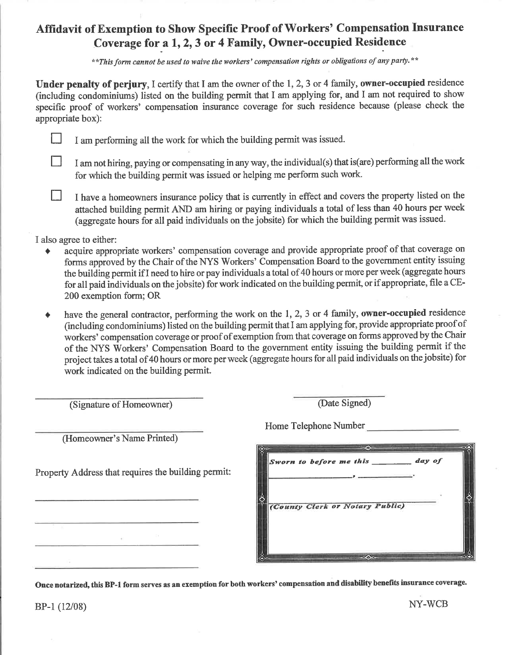# Affidavit of Exemption to Show Specific Proof of Workers' Compensation Insurance Coverage for a 1, 2, 3 or 4 Family, Owner-occupied Residence

\*\* This form cannot be used to waive the workers' compensation rights or obligations of any party.\*\*

Under penalty of perjury, I certify that I am the owner of the 1, 2, 3 or 4 family, owner-occupied residence (including condominiums) listed on the building permit that I am applying for, and I am not required to show specific proof of workers' compensation insurance coverage for such residence because (please check the appropriate box):

- I am performing all the work for which the building permit was issued.
- I am not hiring, paying or compensating in any way, the individual(s) that is (are) performing all the work for which the building permit was issued or helping me perform such work.
- I have a homeowners insurance policy that is currently in effect and covers the property listed on the attached building permit AND am hiring or paying individuals a total of less than 40 hours per week (aggregate hours for all paid individuals on the jobsite) for which the building permit was issued.

I also agree to either:

 $\Box$ 

П

 $\Box$ 

- acquire appropriate workers' compensation coverage and provide appropriate proof of that coverage on forms approved by the Chair of the NYS Workers' Compensation Board to the government entity issuing the building permit if I need to hire or pay individuals a total of 40 hours or more per week (aggregate hours for all paid individuals on the jobsite) for work indicated on the building permit, or if appropriate, file a CE-200 exemption form; OR
- have the general contractor, performing the work on the 1, 2, 3 or 4 family, owner-occupied residence  $\blacklozenge$ (including condominiums) listed on the building permit that I am applying for, provide appropriate proof of workers' compensation coverage or proof of exemption from that coverage on forms approved by the Chair of the NYS Workers' Compensation Board to the government entity issuing the building permit if the project takes a total of 40 hours or more per week (aggregate hours for all paid individuals on the jobsite) for work indicated on the building permit.

| (Signature of Homeowner)                            | (Date Signed)                            |
|-----------------------------------------------------|------------------------------------------|
| (Homeowner's Name Printed)                          | Home Telephone Number                    |
| Property Address that requires the building permit: | day of<br>Sworn to before me this ______ |
|                                                     | (County Clerk or Notary Public)          |
|                                                     | $\infty$                                 |

Once notarized, this BP-1 form serves as an exemption for both workers' compensation and disability benefits insurance coverage.

 $BP-1(12/08)$